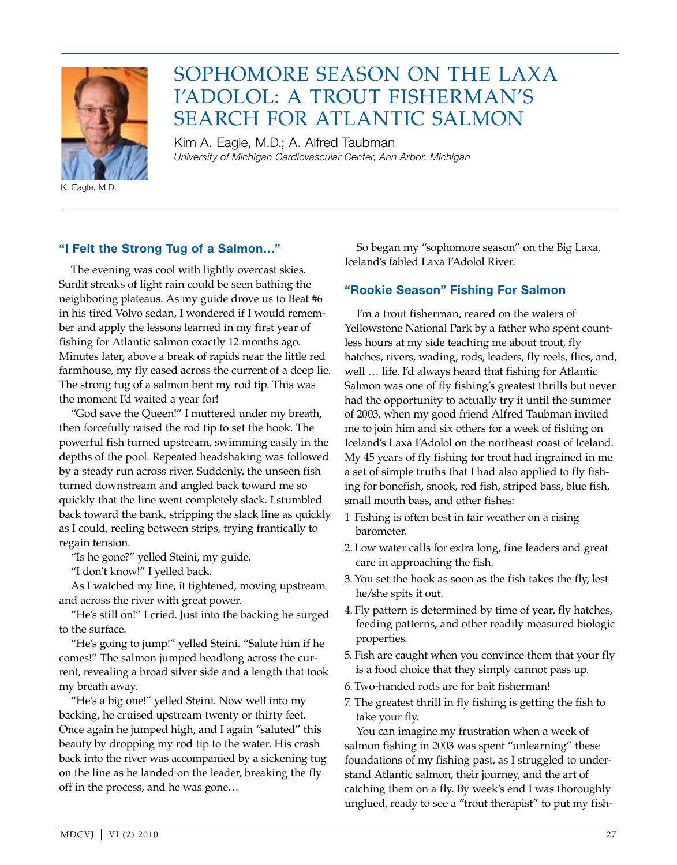

K. Eagle, M.D.

# SOPHOMORE SEASON ON THE LAXA I'ADOLOL: A TROUT FISHERMAN'S SEARCH FOR ATLANTIC SALMON

Kim A. Eagle, M.D.; A. Alfred Taubman *University of Michigan Cardiovascular Center, Ann Arbor, Michigan*

### **"I Felt the Strong Tug of a Salmon…"**

The evening was cool with lightly overcast skies. Sunlit streaks of light rain could be seen bathing the neighboring plateaus. As my guide drove us to Beat #6 in his tired Volvo sedan, I wondered if I would remember and apply the lessons learned in my first year of fishing for Atlantic salmon exactly 12 months ago. Minutes later, above a break of rapids near the little red farmhouse, my fly eased across the current of a deep lie. The strong tug of a salmon bent my rod tip. This was the moment I'd waited a year for!

"God save the Queen!" I muttered under my breath, then forcefully raised the rod tip to set the hook. The powerful fish turned upstream, swimming easily in the depths of the pool. Repeated headshaking was followed by a steady run across river. Suddenly, the unseen fish turned downstream and angled back toward me so quickly that the line went completely slack. I stumbled back toward the bank, stripping the slack line as quickly as I could, reeling between strips, trying frantically to regain tension.

"Is he gone?" yelled Steini, my guide.

"I don't know!" I yelled back.

As I watched my line, it tightened, moving upstream and across the river with great power.

"He's still on!" I cried. Just into the backing he surged to the surface.

"He's going to jump!" yelled Steini. "Salute him if he comes!" The salmon jumped headlong across the current, revealing a broad silver side and a length that took my breath away.

"He's a big one!" yelled Steini. Now well into my backing, he cruised upstream twenty or thirty feet. Once again he jumped high, and I again "saluted" this beauty by dropping my rod tip to the water. His crash back into the river was accompanied by a sickening tug on the line as he landed on the leader, breaking the fly off in the process, and he was gone…

So began my "sophomore season" on the Big Laxa, Iceland's fabled Laxa I'Adolol River.

#### **"Rookie Season" Fishing For Salmon**

I'm a trout fisherman, reared on the waters of Yellowstone National Park by a father who spent countless hours at my side teaching me about trout, fly hatches, rivers, wading, rods, leaders, fly reels, flies, and, well … life. I'd always heard that fishing for Atlantic Salmon was one of fly fishing's greatest thrills but never had the opportunity to actually try it until the summer of 2003, when my good friend Alfred Taubman invited me to join him and six others for a week of fishing on Iceland's Laxa I'Adolol on the northeast coast of Iceland. My 45 years of fly fishing for trout had ingrained in me a set of simple truths that I had also applied to fly fishing for bonefish, snook, red fish, striped bass, blue fish, small mouth bass, and other fishes:

- 1 Fishing is often best in fair weather on a rising barometer.
- 2. Low water calls for extra long, fine leaders and great care in approaching the fish.
- 3. You set the hook as soon as the fish takes the fly, lest he/she spits it out.
- 4. Fly pattern is determined by time of year, fly hatches, feeding patterns, and other readily measured biologic properties.
- 5. Fish are caught when you convince them that your fly is a food choice that they simply cannot pass up.
- 6. Two-handed rods are for bait fisherman!
- 7. The greatest thrill in fly fishing is getting the fish to take your fly.

You can imagine my frustration when a week of salmon fishing in 2003 was spent "unlearning" these foundations of my fishing past, as I struggled to understand Atlantic salmon, their journey, and the art of catching them on a fly. By week's end I was thoroughly unglued, ready to see a "trout therapist" to put my fish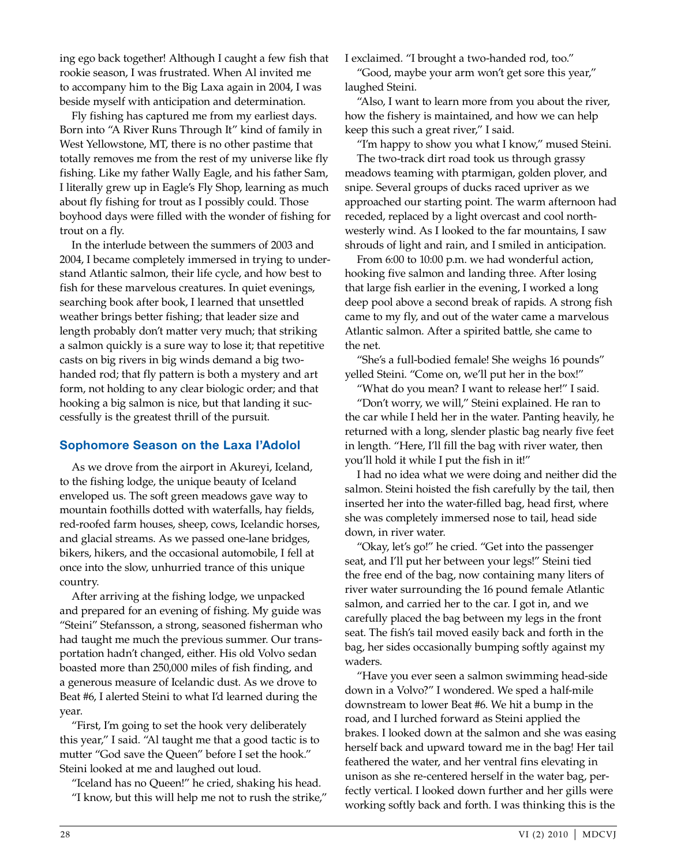ing ego back together! Although I caught a few fish that rookie season, I was frustrated. When Al invited me to accompany him to the Big Laxa again in 2004, I was beside myself with anticipation and determination.

Fly fishing has captured me from my earliest days. Born into "A River Runs Through It" kind of family in West Yellowstone, MT, there is no other pastime that totally removes me from the rest of my universe like fly fishing. Like my father Wally Eagle, and his father Sam, I literally grew up in Eagle's Fly Shop, learning as much about fly fishing for trout as I possibly could. Those boyhood days were filled with the wonder of fishing for trout on a fly.

In the interlude between the summers of 2003 and 2004, I became completely immersed in trying to understand Atlantic salmon, their life cycle, and how best to fish for these marvelous creatures. In quiet evenings, searching book after book, I learned that unsettled weather brings better fishing; that leader size and length probably don't matter very much; that striking a salmon quickly is a sure way to lose it; that repetitive casts on big rivers in big winds demand a big twohanded rod; that fly pattern is both a mystery and art form, not holding to any clear biologic order; and that hooking a big salmon is nice, but that landing it successfully is the greatest thrill of the pursuit.

## **Sophomore Season on the Laxa I'Adolol**

As we drove from the airport in Akureyi, Iceland, to the fishing lodge, the unique beauty of Iceland enveloped us. The soft green meadows gave way to mountain foothills dotted with waterfalls, hay fields, red-roofed farm houses, sheep, cows, Icelandic horses, and glacial streams. As we passed one-lane bridges, bikers, hikers, and the occasional automobile, I fell at once into the slow, unhurried trance of this unique country.

After arriving at the fishing lodge, we unpacked and prepared for an evening of fishing. My guide was "Steini" Stefansson, a strong, seasoned fisherman who had taught me much the previous summer. Our transportation hadn't changed, either. His old Volvo sedan boasted more than 250,000 miles of fish finding, and a generous measure of Icelandic dust. As we drove to Beat #6, I alerted Steini to what I'd learned during the year.

"First, I'm going to set the hook very deliberately this year," I said. "Al taught me that a good tactic is to mutter "God save the Queen" before I set the hook." Steini looked at me and laughed out loud.

"Iceland has no Queen!" he cried, shaking his head. "I know, but this will help me not to rush the strike," I exclaimed. "I brought a two-handed rod, too."

"Good, maybe your arm won't get sore this year," laughed Steini.

"Also, I want to learn more from you about the river, how the fishery is maintained, and how we can help keep this such a great river," I said.

"I'm happy to show you what I know," mused Steini.

The two-track dirt road took us through grassy meadows teaming with ptarmigan, golden plover, and snipe. Several groups of ducks raced upriver as we approached our starting point. The warm afternoon had receded, replaced by a light overcast and cool northwesterly wind. As I looked to the far mountains, I saw shrouds of light and rain, and I smiled in anticipation.

From 6:00 to 10:00 p.m. we had wonderful action, hooking five salmon and landing three. After losing that large fish earlier in the evening, I worked a long deep pool above a second break of rapids. A strong fish came to my fly, and out of the water came a marvelous Atlantic salmon. After a spirited battle, she came to the net.

"She's a full-bodied female! She weighs 16 pounds" yelled Steini. "Come on, we'll put her in the box!"

"What do you mean? I want to release her!" I said.

"Don't worry, we will," Steini explained. He ran to the car while I held her in the water. Panting heavily, he returned with a long, slender plastic bag nearly five feet in length. "Here, I'll fill the bag with river water, then you'll hold it while I put the fish in it!"

I had no idea what we were doing and neither did the salmon. Steini hoisted the fish carefully by the tail, then inserted her into the water-filled bag, head first, where she was completely immersed nose to tail, head side down, in river water.

"Okay, let's go!" he cried. "Get into the passenger seat, and I'll put her between your legs!" Steini tied the free end of the bag, now containing many liters of river water surrounding the 16 pound female Atlantic salmon, and carried her to the car. I got in, and we carefully placed the bag between my legs in the front seat. The fish's tail moved easily back and forth in the bag, her sides occasionally bumping softly against my waders.

"Have you ever seen a salmon swimming head-side down in a Volvo?" I wondered. We sped a half-mile downstream to lower Beat #6. We hit a bump in the road, and I lurched forward as Steini applied the brakes. I looked down at the salmon and she was easing herself back and upward toward me in the bag! Her tail feathered the water, and her ventral fins elevating in unison as she re-centered herself in the water bag, perfectly vertical. I looked down further and her gills were working softly back and forth. I was thinking this is the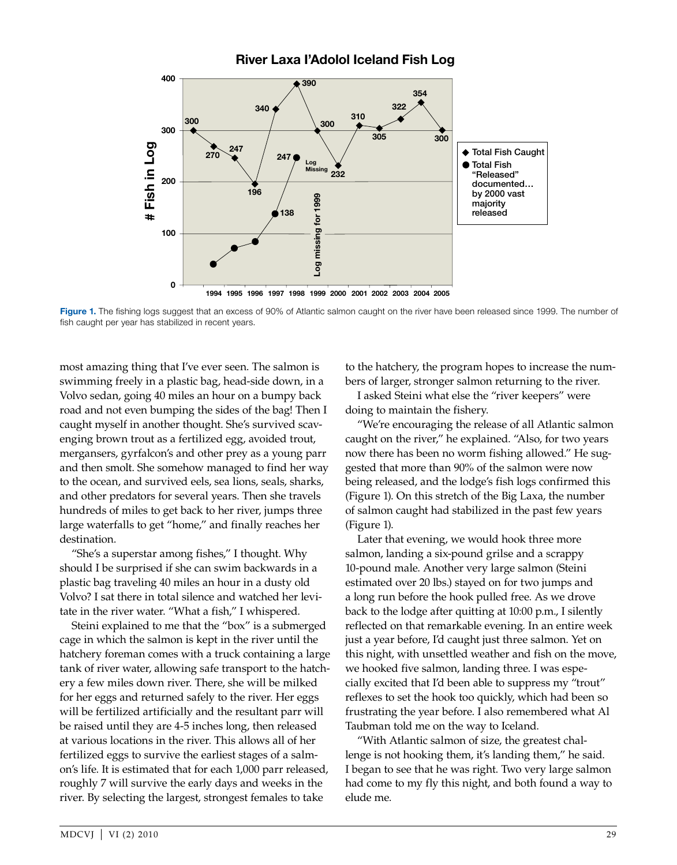

Figure 1. The fishing logs suggest that an excess of 90% of Atlantic salmon caught on the river have been released since 1999. The number of fish caught per year has stabilized in recent years.

most amazing thing that I've ever seen. The salmon is swimming freely in a plastic bag, head-side down, in a Volvo sedan, going 40 miles an hour on a bumpy back road and not even bumping the sides of the bag! Then I caught myself in another thought. She's survived scavenging brown trout as a fertilized egg, avoided trout, mergansers, gyrfalcon's and other prey as a young parr and then smolt. She somehow managed to find her way to the ocean, and survived eels, sea lions, seals, sharks, and other predators for several years. Then she travels hundreds of miles to get back to her river, jumps three large waterfalls to get "home," and finally reaches her destination.

"She's a superstar among fishes," I thought. Why should I be surprised if she can swim backwards in a plastic bag traveling 40 miles an hour in a dusty old Volvo? I sat there in total silence and watched her levitate in the river water. "What a fish," I whispered.

Steini explained to me that the "box" is a submerged cage in which the salmon is kept in the river until the hatchery foreman comes with a truck containing a large tank of river water, allowing safe transport to the hatchery a few miles down river. There, she will be milked for her eggs and returned safely to the river. Her eggs will be fertilized artificially and the resultant parr will be raised until they are 4-5 inches long, then released at various locations in the river. This allows all of her fertilized eggs to survive the earliest stages of a salmon's life. It is estimated that for each 1,000 parr released, roughly 7 will survive the early days and weeks in the river. By selecting the largest, strongest females to take

to the hatchery, the program hopes to increase the numbers of larger, stronger salmon returning to the river.

I asked Steini what else the "river keepers" were doing to maintain the fishery.

"We're encouraging the release of all Atlantic salmon caught on the river," he explained. "Also, for two years now there has been no worm fishing allowed." He suggested that more than 90% of the salmon were now being released, and the lodge's fish logs confirmed this (Figure 1). On this stretch of the Big Laxa, the number of salmon caught had stabilized in the past few years (Figure 1).

Later that evening, we would hook three more salmon, landing a six-pound grilse and a scrappy 10-pound male. Another very large salmon (Steini estimated over 20 lbs.) stayed on for two jumps and a long run before the hook pulled free. As we drove back to the lodge after quitting at 10:00 p.m., I silently reflected on that remarkable evening. In an entire week just a year before, I'd caught just three salmon. Yet on this night, with unsettled weather and fish on the move, we hooked five salmon, landing three. I was especially excited that I'd been able to suppress my "trout" reflexes to set the hook too quickly, which had been so frustrating the year before. I also remembered what Al Taubman told me on the way to Iceland.

"With Atlantic salmon of size, the greatest challenge is not hooking them, it's landing them," he said. I began to see that he was right. Two very large salmon had come to my fly this night, and both found a way to elude me.